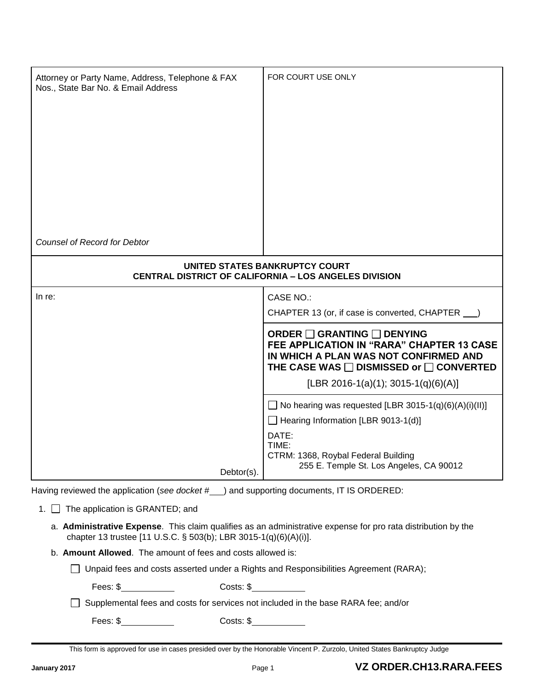| Attorney or Party Name, Address, Telephone & FAX<br>Nos., State Bar No. & Email Address        | FOR COURT USE ONLY                                                                                                                                                                                        |
|------------------------------------------------------------------------------------------------|-----------------------------------------------------------------------------------------------------------------------------------------------------------------------------------------------------------|
| <b>Counsel of Record for Debtor</b>                                                            |                                                                                                                                                                                                           |
| UNITED STATES BANKRUPTCY COURT<br><b>CENTRAL DISTRICT OF CALIFORNIA - LOS ANGELES DIVISION</b> |                                                                                                                                                                                                           |
| In $re$ :                                                                                      | <b>CASE NO.:</b><br>CHAPTER 13 (or, if case is converted, CHAPTER __)                                                                                                                                     |
|                                                                                                | <b>ORDER □ GRANTING □ DENYING</b><br>FEE APPLICATION IN "RARA" CHAPTER 13 CASE<br>IN WHICH A PLAN WAS NOT CONFIRMED AND<br>THE CASE WAS □ DISMISSED or □ CONVERTED<br>[LBR 2016-1(a)(1); 3015-1(q)(6)(A)] |
| Debtor(s).                                                                                     | $\Box$ No hearing was requested [LBR 3015-1(q)(6)(A)(i)(II)]<br>Hearing Information [LBR 9013-1(d)]<br>DATE:<br>TIME:<br>CTRM: 1368, Roybal Federal Building<br>255 E. Temple St. Los Angeles, CA 90012   |

Having reviewed the application (see docket #\_\_) and supporting documents, IT IS ORDERED:

- 1. **The application is GRANTED**; and
	- a. **Administrative Expense**. This claim qualifies as an administrative expense for pro rata distribution by the chapter 13 trustee [11 U.S.C. § 503(b); LBR 3015-1(q)(6)(A)(i)].
	- b. **Amount Allowed**. The amount of fees and costs allowed is:

□ Unpaid fees and costs asserted under a Rights and Responsibilities Agreement (RARA);

Fees: \$ Costs: \$

□ Supplemental fees and costs for services not included in the base RARA fee; and/or

Fees: \$ Costs: \$

This form is approved for use in cases presided over by the Honorable Vincent P. Zurzolo, United States Bankruptcy Judge